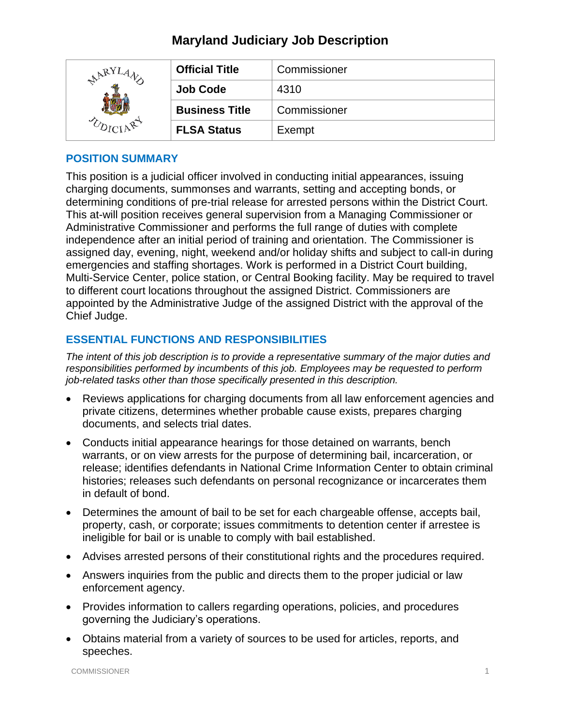# **Maryland Judiciary Job Description**

| ARYL | <b>Official Title</b> | Commissioner |
|------|-----------------------|--------------|
|      | <b>Job Code</b>       | 4310         |
|      | <b>Business Title</b> | Commissioner |
|      | <b>FLSA Status</b>    | Exempt       |

### **POSITION SUMMARY**

This position is a judicial officer involved in conducting initial appearances, issuing charging documents, summonses and warrants, setting and accepting bonds, or determining conditions of pre-trial release for arrested persons within the District Court. This at-will position receives general supervision from a Managing Commissioner or Administrative Commissioner and performs the full range of duties with complete independence after an initial period of training and orientation. The Commissioner is assigned day, evening, night, weekend and/or holiday shifts and subject to call-in during emergencies and staffing shortages. Work is performed in a District Court building, Multi-Service Center, police station, or Central Booking facility. May be required to travel to different court locations throughout the assigned District. Commissioners are appointed by the Administrative Judge of the assigned District with the approval of the Chief Judge.

# **ESSENTIAL FUNCTIONS AND RESPONSIBILITIES**

*The intent of this job description is to provide a representative summary of the major duties and responsibilities performed by incumbents of this job. Employees may be requested to perform job-related tasks other than those specifically presented in this description.*

- Reviews applications for charging documents from all law enforcement agencies and private citizens, determines whether probable cause exists, prepares charging documents, and selects trial dates.
- Conducts initial appearance hearings for those detained on warrants, bench warrants, or on view arrests for the purpose of determining bail, incarceration, or release; identifies defendants in National Crime Information Center to obtain criminal histories; releases such defendants on personal recognizance or incarcerates them in default of bond.
- Determines the amount of bail to be set for each chargeable offense, accepts bail, property, cash, or corporate; issues commitments to detention center if arrestee is ineligible for bail or is unable to comply with bail established.
- Advises arrested persons of their constitutional rights and the procedures required.
- Answers inquiries from the public and directs them to the proper judicial or law enforcement agency.
- Provides information to callers regarding operations, policies, and procedures governing the Judiciary's operations.
- Obtains material from a variety of sources to be used for articles, reports, and speeches.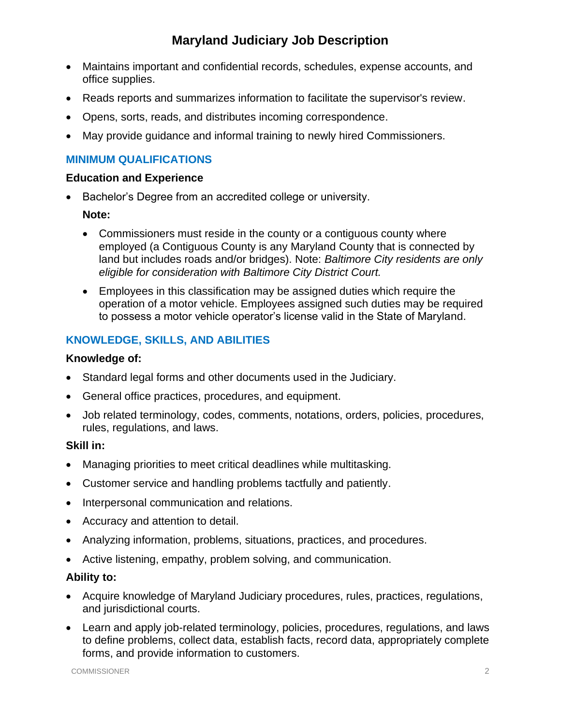# **Maryland Judiciary Job Description**

- Maintains important and confidential records, schedules, expense accounts, and office supplies.
- Reads reports and summarizes information to facilitate the supervisor's review.
- Opens, sorts, reads, and distributes incoming correspondence.
- May provide guidance and informal training to newly hired Commissioners.

## **MINIMUM QUALIFICATIONS**

#### **Education and Experience**

• Bachelor's Degree from an accredited college or university.

#### **Note:**

- Commissioners must reside in the county or a contiguous county where employed (a Contiguous County is any Maryland County that is connected by land but includes roads and/or bridges). Note: *Baltimore City residents are only eligible for consideration with Baltimore City District Court.*
- Employees in this classification may be assigned duties which require the operation of a motor vehicle. Employees assigned such duties may be required to possess a motor vehicle operator's license valid in the State of Maryland.

# **KNOWLEDGE, SKILLS, AND ABILITIES**

#### **Knowledge of:**

- Standard legal forms and other documents used in the Judiciary.
- General office practices, procedures, and equipment.
- Job related terminology, codes, comments, notations, orders, policies, procedures, rules, regulations, and laws.

#### **Skill in:**

- Managing priorities to meet critical deadlines while multitasking.
- Customer service and handling problems tactfully and patiently.
- Interpersonal communication and relations.
- Accuracy and attention to detail.
- Analyzing information, problems, situations, practices, and procedures.
- Active listening, empathy, problem solving, and communication.

## **Ability to:**

- Acquire knowledge of Maryland Judiciary procedures, rules, practices, regulations, and jurisdictional courts.
- Learn and apply job-related terminology, policies, procedures, regulations, and laws to define problems, collect data, establish facts, record data, appropriately complete forms, and provide information to customers.